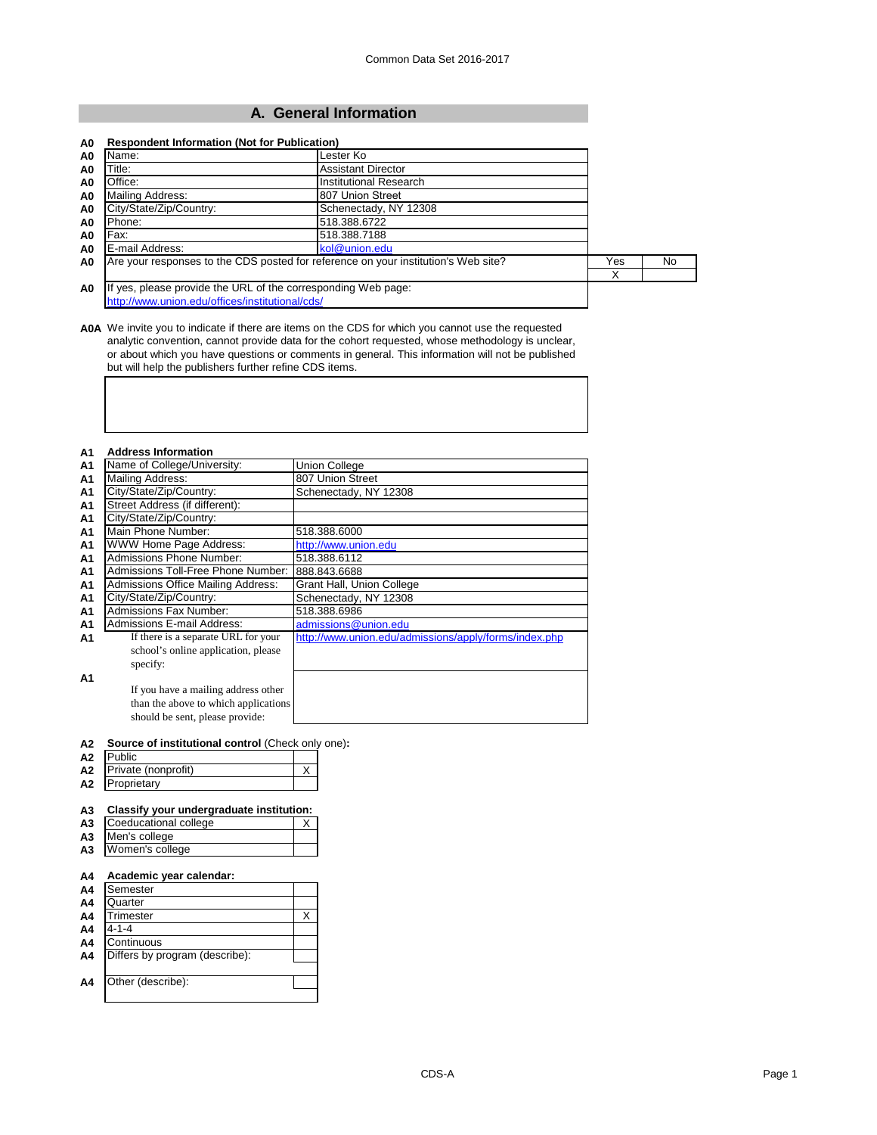# **A. General Information**

| Name:<br>A0                                     | Lester Ko                                                                          |     |     |
|-------------------------------------------------|------------------------------------------------------------------------------------|-----|-----|
| Title:<br>A <sub>0</sub>                        | <b>Assistant Director</b>                                                          |     |     |
| Office:<br>A0                                   | Institutional Research                                                             |     |     |
| Mailing Address:<br>A0                          | 807 Union Street                                                                   |     |     |
| City/State/Zip/Country:<br>A0                   | Schenectady, NY 12308                                                              |     |     |
| Phone:<br>A0                                    | 518.388.6722                                                                       |     |     |
| Fax:<br>A0                                      | 518.388.7188                                                                       |     |     |
| E-mail Address:<br>A <sub>0</sub>               | kol@union.edu                                                                      |     |     |
| A <sub>0</sub>                                  | Are your responses to the CDS posted for reference on your institution's Web site? | Yes | No. |
|                                                 |                                                                                    | X   |     |
| A <sub>0</sub>                                  | If yes, please provide the URL of the corresponding Web page:                      |     |     |
| http://www.union.edu/offices/institutional/cds/ |                                                                                    |     |     |

**A0A** We invite you to indicate if there are items on the CDS for which you cannot use the requested analytic convention, cannot provide data for the cohort requested, whose methodology is unclear, or about which you have questions or comments in general. This information will not be published but will help the publishers further refine CDS items.

| A1             | <b>Address Information</b>                |                                                       |
|----------------|-------------------------------------------|-------------------------------------------------------|
| A1             | Name of College/University:               | <b>Union College</b>                                  |
| A1             | Mailing Address:                          | 807 Union Street                                      |
| A1             | City/State/Zip/Country:                   | Schenectady, NY 12308                                 |
| A <sub>1</sub> | Street Address (if different):            |                                                       |
| A <sub>1</sub> | City/State/Zip/Country:                   |                                                       |
| A1             | Main Phone Number:                        | 518.388.6000                                          |
| A <sub>1</sub> | WWW Home Page Address:                    | http://www.union.edu                                  |
| <b>A1</b>      | Admissions Phone Number:                  | 518.388.6112                                          |
| A <sub>1</sub> | Admissions Toll-Free Phone Number:        | 888.843.6688                                          |
| A1             | <b>Admissions Office Mailing Address:</b> | Grant Hall, Union College                             |
| A1             | City/State/Zip/Country:                   | Schenectady, NY 12308                                 |
| A1             | <b>Admissions Fax Number:</b>             | 518.388.6986                                          |
| A <sub>1</sub> | Admissions E-mail Address:                | admissions@union.edu                                  |
| A <sub>1</sub> | If there is a separate URL for your       | http://www.union.edu/admissions/apply/forms/index.php |
|                | school's online application, please       |                                                       |
|                | specify:                                  |                                                       |
| A1             |                                           |                                                       |
|                | If you have a mailing address other       |                                                       |
|                | than the above to which applications      |                                                       |
|                | should be sent, please provide:           |                                                       |

#### **A2 Source of institutional control** (Check only one)**:**

| A2             | Public              |  |
|----------------|---------------------|--|
| A <sub>2</sub> | Private (nonprofit) |  |
| A2             | Proprietary         |  |

### **A3 Classify your undergraduate institution:**

| A3 Coeducational college |  |
|--------------------------|--|
| A3 Men's college         |  |
| A3 Women's college       |  |

#### **A4 Academic year calendar:**

| A4             | Semester                       |  |
|----------------|--------------------------------|--|
| A4             | Quarter                        |  |
| A4             | Trimester                      |  |
| A4             | 4-1-4                          |  |
| A4             | Continuous                     |  |
| A <sub>4</sub> | Differs by program (describe): |  |
|                |                                |  |
| A4             | Other (describe):              |  |
|                |                                |  |